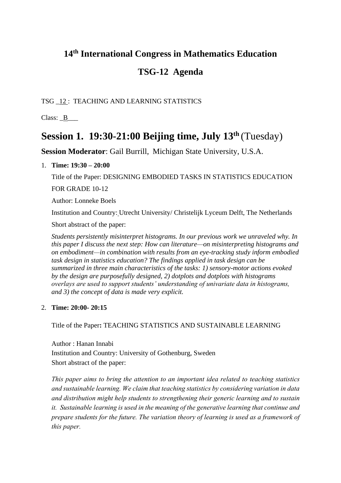## **14th International Congress in Mathematics Education**

## **TSG-12 Agenda**

TSG \_12 : TEACHING AND LEARNING STATISTICS

Class:  $B$  \_\_\_\_\_

# **Session 1. 19:30-21:00 Beijing time, July 13th** (Tuesday)

**Session Moderator**: Gail Burrill, Michigan State University, U.S.A.

## 1. **Time: 19:30 – 20:00**

Title of the Paper: DESIGNING EMBODIED TASKS IN STATISTICS EDUCATION FOR GRADE 10-12

Author: Lonneke Boels

Institution and Country: Utrecht University/ Christelijk Lyceum Delft, The Netherlands

Short abstract of the paper:

*Students persistently misinterpret histograms. In our previous work we unraveled why. In this paper I discuss the next step: How can literature—on misinterpreting histograms and on embodiment—in combination with results from an eye-tracking study inform embodied task design in statistics education? The findings applied in task design can be summarized in three main characteristics of the tasks: 1) sensory-motor actions evoked by the design are purposefully designed, 2) dotplots and dotplots with histograms overlays are used to support students' understanding of univariate data in histograms, and 3) the concept of data is made very explicit.*

## 2. **Time: 20:00- 20:15**

Title of the Paper**:** TEACHING STATISTICS AND SUSTAINABLE LEARNING

Author : Hanan Innabi Institution and Country: University of Gothenburg, Sweden Short abstract of the paper:

*This paper aims to bring the attention to an important idea related to teaching statistics and sustainable learning. We claim that teaching statistics by considering variation in data and distribution might help students to strengthening their generic learning and to sustain it. Sustainable learning is used in the meaning of the generative learning that continue and prepare students for the future. The variation theory of learning is used as a framework of this paper.*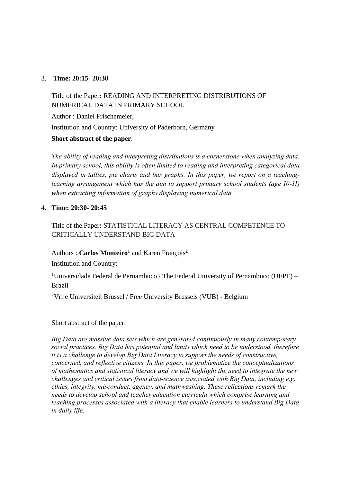## 3. **Time: 20:15- 20:30**

Title of the Paper**:** READING AND INTERPRETING DISTRIBUTIONS OF NUMERICAL DATA IN PRIMARY SCHOOL Author : Daniel Frischemeier, Institution and Country: University of Paderborn, Germany **Short abstract of the paper**:

*The ability of reading and interpreting distributions is a cornerstone when analyzing data. In primary school, this ability is often limited to reading and interpreting categorical data displayed in tallies, pie charts and bar graphs. In this paper, we report on a teachinglearning arrangement which has the aim to support primary school students (age 10-11) when extracting information of graphs displaying numerical data.*

## 4. **Time: 20:30- 20:45**

Title of the Paper**:** STATISTICAL LITERACY AS CENTRAL COMPETENCE TO CRITICALLY UNDERSTAND BIG DATA

## Authors : **Carlos Monteiro<sup>1</sup>** and Karen François**<sup>2</sup>**

Institution and Country:

<sup>1</sup>Universidade Federal de Pernambuco / The Federal University of Pernambuco (UFPE) – Brazil

<sup>2</sup>Vrije Universiteit Brussel / Free University Brussels (VUB) - Belgium

## Short abstract of the paper:

*Big Data are massive data sets which are generated continuously in many contemporary social practices. Big Data has potential and limits which need to be understood, therefore it is a challenge to develop Big Data Literacy to support the needs of constructive, concerned, and reflective citizens. In this paper, we problematize the conceptualizations of mathematics and statistical literacy and we will highlight the need to integrate the new challenges and critical issues from data-science associated with Big Data, including e.g. ethics, integrity, misconduct, agency, and mathwashing. These reflections remark the needs to develop school and teacher education curricula which comprise learning and teaching processes associated with a literacy that enable learners to understand Big Data in daily life.*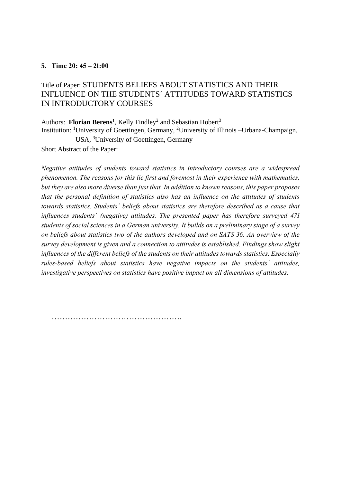## **5. Time 20: 45 – 21:00**

## Title of Paper: STUDENTS BELIEFS ABOUT STATISTICS AND THEIR INFLUENCE ON THE STUDENTS´ ATTITUDES TOWARD STATISTICS IN INTRODUCTORY COURSES

Authors: Florian Berens<sup>1</sup>, Kelly Findley<sup>2</sup> and Sebastian Hobert<sup>3</sup> Institution: <sup>1</sup>University of Goettingen, Germany, <sup>2</sup>University of Illinois –Urbana-Champaign, USA, <sup>3</sup>University of Goettingen, Germany Short Abstract of the Paper:

*Negative attitudes of students toward statistics in introductory courses are a widespread phenomenon. The reasons for this lie first and foremost in their experience with mathematics, but they are also more diverse than just that. In addition to known reasons, this paper proposes that the personal definition of statistics also has an influence on the attitudes of students towards statistics. Students´ beliefs about statistics are therefore described as a cause that influences students´ (negative) attitudes. The presented paper has therefore surveyed 471 students of social sciences in a German university. It builds on a preliminary stage of a survey on beliefs about statistics two of the authors developed and on SATS 36. An overview of the survey development is given and a connection to attitudes is established. Findings show slight influences of the different beliefs of the students on their attitudes towards statistics. Especially rules-based beliefs about statistics have negative impacts on the students´ attitudes, investigative perspectives on statistics have positive impact on all dimensions of attitudes.*

………………………………………….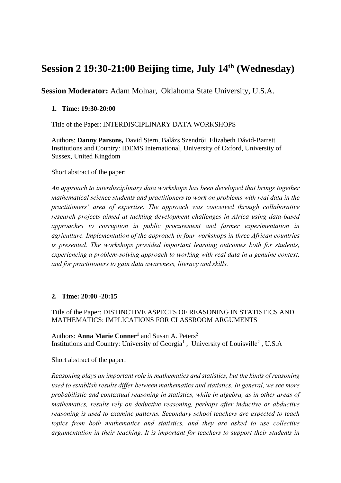# **Session 2 19:30-21:00 Beijing time, July 14th (Wednesday)**

**Session Moderator:** Adam Molnar, Oklahoma State University, U.S.A.

## **1. Time: 19:30-20:00**

Title of the Paper: INTERDISCIPLINARY DATA WORKSHOPS

Authors: **Danny Parsons,** David Stern, Balázs Szendrői, Elizabeth Dávid-Barrett Institutions and Country: IDEMS International, University of Oxford, University of Sussex, United Kingdom

Short abstract of the paper:

*An approach to interdisciplinary data workshops has been developed that brings together mathematical science students and practitioners to work on problems with real data in the practitioners' area of expertise. The approach was conceived through collaborative research projects aimed at tackling development challenges in Africa using data-based approaches to corruption in public procurement and farmer experimentation in agriculture. Implementation of the approach in four workshops in three African countries is presented. The workshops provided important learning outcomes both for students, experiencing a problem-solving approach to working with real data in a genuine context, and for practitioners to gain data awareness, literacy and skills.*

## **2. Time: 20:00 -20:15**

Title of the Paper: DISTINCTIVE ASPECTS OF REASONING IN STATISTICS AND MATHEMATICS: IMPLICATIONS FOR CLASSROOM ARGUMENTS

Authors: Anna Marie Conner<sup>1</sup> and Susan A. Peters<sup>2</sup> Institutions and Country: University of Georgia<sup>1</sup>, University of Louisville<sup>2</sup>, U.S.A

Short abstract of the paper:

*Reasoning plays an important role in mathematics and statistics, but the kinds of reasoning used to establish results differ between mathematics and statistics. In general, we see more probabilistic and contextual reasoning in statistics, while in algebra, as in other areas of mathematics, results rely on deductive reasoning, perhaps after inductive or abductive reasoning is used to examine patterns. Secondary school teachers are expected to teach topics from both mathematics and statistics, and they are asked to use collective argumentation in their teaching. It is important for teachers to support their students in*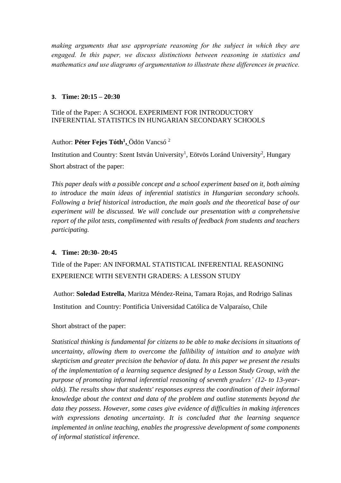*making arguments that use appropriate reasoning for the subject in which they are engaged. In this paper, we discuss distinctions between reasoning in statistics and mathematics and use diagrams of argumentation to illustrate these differences in practice.*

## **3. Time: 20:15 – 20:30**

## Title of the Paper: A SCHOOL EXPERIMENT FOR INTRODUCTORY INFERENTIAL STATISTICS IN HUNGARIAN SECONDARY SCHOOLS

## Author: **Péter Fejes Tóth<sup>1</sup> ,** Ödön Vancsó <sup>2</sup>

Institution and Country: Szent István University<sup>1</sup>, Eötvös Loránd University<sup>2</sup>, Hungary Short abstract of the paper:

*This paper deals with a possible concept and a school experiment based on it, both aiming to introduce the main ideas of inferential statistics in Hungarian secondary schools. Following a brief historical introduction, the main goals and the theoretical base of our experiment will be discussed. We will conclude our presentation with a comprehensive report of the pilot tests, complimented with results of feedback from students and teachers participating.* 

## **4. Time: 20:30- 20:45**

Title of the Paper: AN INFORMAL STATISTICAL INFERENTIAL REASONING EXPERIENCE WITH SEVENTH GRADERS: A LESSON STUDY

 Author: **Soledad Estrella**, Maritza Méndez-Reina, Tamara Rojas, and Rodrigo Salinas Institution and Country: Pontificia Universidad Católica de Valparaíso, Chile

## Short abstract of the paper:

*Statistical thinking is fundamental for citizens to be able to make decisions in situations of uncertainty, allowing them to overcome the fallibility of intuition and to analyze with skepticism and greater precision the behavior of data. In this paper we present the results of the implementation of a learning sequence designed by a Lesson Study Group, with the purpose of promoting informal inferential reasoning of seventh graders' (12- to 13-yearolds). The results show that students' responses express the coordination of their informal knowledge about the context and data of the problem and outline statements beyond the data they possess. However, some cases give evidence of difficulties in making inferences with expressions denoting uncertainty. It is concluded that the learning sequence implemented in online teaching, enables the progressive development of some components of informal statistical inference.*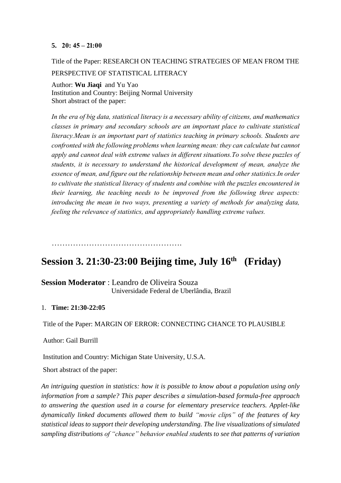## **5. 20: 45 – 21:00**

Title of the Paper: RESEARCH ON TEACHING STRATEGIES OF MEAN FROM THE PERSPECTIVE OF STATISTICAL LITERACY

Author: **Wu Jiaqi** and Yu Yao Institution and Country: Beijing Normal University Short abstract of the paper:

*In the era of big data, statistical literacy is a necessary ability of citizens, and mathematics classes in primary and secondary schools are an important place to cultivate statistical literacy.Mean is an important part of statistics teaching in primary schools. Students are confronted with the following problems when learning mean: they can calculate but cannot apply and cannot deal with extreme values in different situations.To solve these puzzles of students, it is necessary to understand the historical development of mean, analyze the essence of mean, and figure out the relationship between mean and other statistics.In order to cultivate the statistical literacy of students and combine with the puzzles encountered in their learning, the teaching needs to be improved from the following three aspects: introducing the mean in two ways, presenting a variety of methods for analyzing data, feeling the relevance of statistics, and appropriately handling extreme values.*

………………………………………….

#### **Session 3. 21:30-23:00 Beijing time, July 16th (Friday)**

**Session Moderator** : Leandro de Oliveira Souza Universidade Federal de Uberlândia, Brazil

## 1. **Time: 21:30-22:05**

Title of the Paper: MARGIN OF ERROR: CONNECTING CHANCE TO PLAUSIBLE

Author: Gail Burrill

Institution and Country: Michigan State University, U.S.A.

Short abstract of the paper:

*An intriguing question in statistics: how it is possible to know about a population using only information from a sample? This paper describes a simulation-based formula-free approach to answering the question used in a course for elementary preservice teachers. Applet-like dynamically linked documents allowed them to build "movie clips" of the features of key statistical ideas to support their developing understanding. The live visualizations of simulated sampling distributions of "chance" behavior enabled students to see that patterns of variation*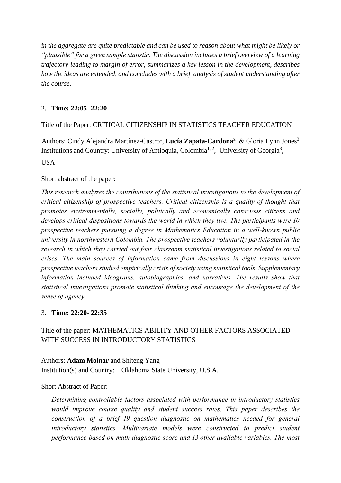*in the aggregate are quite predictable and can be used to reason about what might be likely or "plausible" for a given sample statistic. The discussion includes a brief overview of a learning trajectory leading to margin of error, summarizes a key lesson in the development, describes how the ideas are extended, and concludes with a brief analysis of student understanding after the course.*

## 2. **Time: 22:05- 22:20**

## Title of the Paper: CRITICAL CITIZENSHIP IN STATISTICS TEACHER EDUCATION

Authors: Cindy Alejandra Martínez-Castro<sup>1</sup>, Lucía Zapata-Cardona<sup>2</sup> & Gloria Lynn Jones<sup>3</sup> Institutions and Country: University of Antioquia, Colombia<sup>1, 2</sup>, University of Georgia<sup>3</sup>, **USA** 

## Short abstract of the paper:

*This research analyzes the contributions of the statistical investigations to the development of critical citizenship of prospective teachers. Critical citizenship is a quality of thought that promotes environmentally, socially, politically and economically conscious citizens and develops critical dispositions towards the world in which they live. The participants were 10 prospective teachers pursuing a degree in Mathematics Education in a well-known public university in northwestern Colombia. The prospective teachers voluntarily participated in the research in which they carried out four classroom statistical investigations related to social crises. The main sources of information came from discussions in eight lessons where prospective teachers studied empirically crisis of society using statistical tools. Supplementary information included ideograms, autobiographies, and narratives. The results show that statistical investigations promote statistical thinking and encourage the development of the sense of agency.*

## 3. **Time: 22:20- 22:35**

## Title of the paper: MATHEMATICS ABILITY AND OTHER FACTORS ASSOCIATED WITH SUCCESS IN INTRODUCTORY STATISTICS

Authors: **Adam Molnar** and Shiteng Yang Institution(s) and Country: Oklahoma State University, U.S.A.

## Short Abstract of Paper:

*Determining controllable factors associated with performance in introductory statistics would improve course quality and student success rates. This paper describes the construction of a brief 19 question diagnostic on mathematics needed for general introductory statistics. Multivariate models were constructed to predict student performance based on math diagnostic score and 13 other available variables. The most*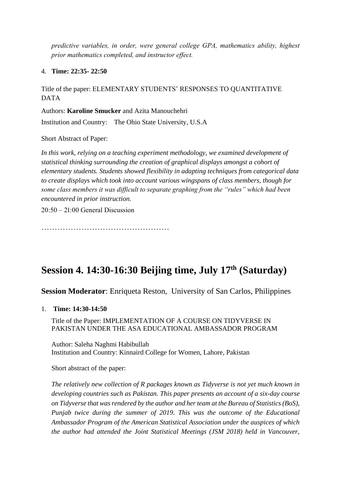*predictive variables, in order, were general college GPA, mathematics ability, highest prior mathematics completed, and instructor effect.*

4. **Time: 22:35- 22:50**

Title of the paper: ELEMENTARY STUDENTS' RESPONSES TO QUANTITATIVE DATA

Authors: **Karoline Smucker** and Azita Manouchehri

Institution and Country: The Ohio State University, U.S.A

Short Abstract of Paper:

*In this work, relying on a teaching experiment methodology, we examined development of statistical thinking surrounding the creation of graphical displays amongst a cohort of elementary students. Students showed flexibility in adapting techniques from categorical data to create displays which took into account various wingspans of class members, though for some class members it was difficult to separate graphing from the "rules" which had been encountered in prior instruction.*

20:50 – 21:00 General Discussion

…………………………………………

# **Session 4. 14:30-16:30 Beijing time, July 17th (Saturday)**

**Session Moderator**: Enriqueta Reston, University of San Carlos, Philippines

1. **Time: 14:30-14:50**

Title of the Paper: IMPLEMENTATION OF A COURSE ON TIDYVERSE IN PAKISTAN UNDER THE ASA EDUCATIONAL AMBASSADOR PROGRAM

Author: Saleha Naghmi Habibullah Institution and Country: Kinnaird College for Women, Lahore, Pakistan

Short abstract of the paper:

*The relatively new collection of R packages known as Tidyverse is not yet much known in developing countries such as Pakistan. This paper presents an account of a six-day course on Tidyverse that was rendered by the author and her team at the Bureau of Statistics (BoS), Punjab twice during the summer of 2019. This was the outcome of the Educational Ambassador Program of the American Statistical Association under the auspices of which the author had attended the Joint Statistical Meetings (JSM 2018) held in Vancouver,*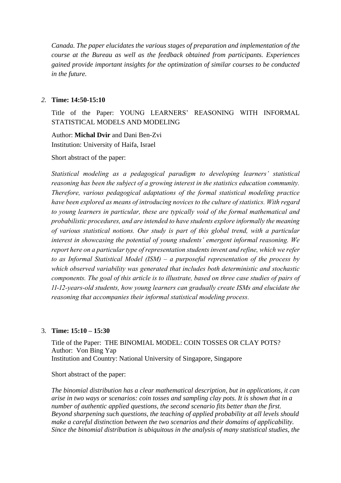*Canada. The paper elucidates the various stages of preparation and implementation of the course at the Bureau as well as the feedback obtained from participants. Experiences gained provide important insights for the optimization of similar courses to be conducted in the future.*

### *2.* **Time: 14:50-15:10**

Title of the Paper: YOUNG LEARNERS' REASONING WITH INFORMAL STATISTICAL MODELS AND MODELING

 Author: **Michal Dvir** and Dani Ben-Zvi Institution: University of Haifa, Israel

Short abstract of the paper:

*Statistical modeling as a pedagogical paradigm to developing learners' statistical reasoning has been the subject of a growing interest in the statistics education community. Therefore, various pedagogical adaptations of the formal statistical modeling practice have been explored as means of introducing novices to the culture of statistics. With regard to young learners in particular, these are typically void of the formal mathematical and probabilistic procedures, and are intended to have students explore informally the meaning of various statistical notions. Our study is part of this global trend, with a particular interest in showcasing the potential of young students' emergent informal reasoning. We report here on a particular type of representation students invent and refine, which we refer to as Informal Statistical Model (ISM) – a purposeful representation of the process by which observed variability was generated that includes both deterministic and stochastic components. The goal of this article is to illustrate, based on three case studies of pairs of 11-12-years-old students, how young learners can gradually create ISMs and elucidate the reasoning that accompanies their informal statistical modeling process.*

## 3. **Time: 15:10 – 15:30**

Title of the Paper: THE BINOMIAL MODEL: COIN TOSSES OR CLAY POTS? Author: Von Bing Yap Institution and Country: National University of Singapore, Singapore

Short abstract of the paper:

*The binomial distribution has a clear mathematical description, but in applications, it can arise in two ways or scenarios: coin tosses and sampling clay pots. It is shown that in a number of authentic applied questions, the second scenario fits better than the first. Beyond sharpening such questions, the teaching of applied probability at all levels should make a careful distinction between the two scenarios and their domains of applicability. Since the binomial distribution is ubiquitous in the analysis of many statistical studies, the*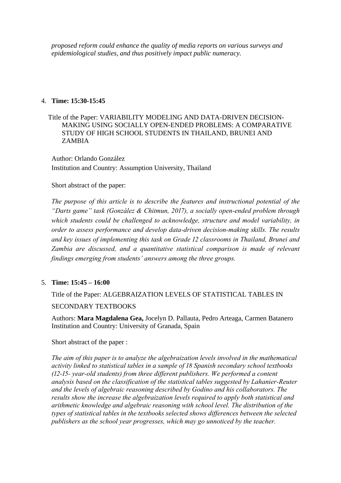*proposed reform could enhance the quality of media reports on various surveys and epidemiological studies, and thus positively impact public numeracy.*

## 4. **Time: 15:30-15:45**

 Title of the Paper: VARIABILITY MODELING AND DATA-DRIVEN DECISION-MAKING USING SOCIALLY OPEN-ENDED PROBLEMS: A COMPARATIVE STUDY OF HIGH SCHOOL STUDENTS IN THAILAND, BRUNEI AND ZAMBIA

 Author: Orlando González Institution and Country: Assumption University, Thailand

## Short abstract of the paper:

*The purpose of this article is to describe the features and instructional potential of the "Darts game" task (González & Chitmun, 2017), a socially open-ended problem through which students could be challenged to acknowledge, structure and model variability, in order to assess performance and develop data-driven decision-making skills. The results and key issues of implementing this task on Grade 12 classrooms in Thailand, Brunei and Zambia are discussed, and a quantitative statistical comparison is made of relevant findings emerging from students' answers among the three groups.*

## 5. **Time: 15:45 – 16:00**

Title of the Paper: ALGEBRAIZATION LEVELS OF STATISTICAL TABLES IN SECONDARY TEXTBOOKS

Authors: **Mara Magdalena Gea,** Jocelyn D. Pallauta, Pedro Arteaga, Carmen Batanero Institution and Country: University of Granada, Spain

## Short abstract of the paper :

*The aim of this paper is to analyze the algebraization levels involved in the mathematical activity linked to statistical tables in a sample of 18 Spanish secondary school textbooks (12-15- year-old students) from three different publishers. We performed a content analysis based on the classification of the statistical tables suggested by Lahanier-Reuter and the levels of algebraic reasoning described by Godino and his collaborators. The results show the increase the algebraization levels required to apply both statistical and arithmetic knowledge and algebraic reasoning with school level. The distribution of the types of statistical tables in the textbooks selected shows differences between the selected publishers as the school year progresses, which may go unnoticed by the teacher.*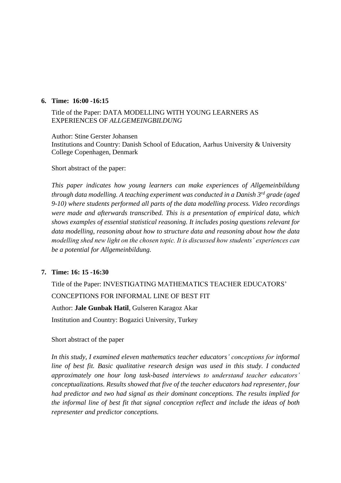### **6. Time: 16:00 -16:15**

## Title of the Paper: DATA MODELLING WITH YOUNG LEARNERS AS EXPERIENCES OF *ALLGEMEINGBILDUNG*

Author: Stine Gerster Johansen Institutions and Country: Danish School of Education, Aarhus University & University College Copenhagen, Denmark

#### Short abstract of the paper:

*This paper indicates how young learners can make experiences of Allgemeinbildung through data modelling. A teaching experiment was conducted in a Danish 3rd grade (aged 9-10) where students performed all parts of the data modelling process. Video recordings were made and afterwards transcribed. This is a presentation of empirical data, which shows examples of essential statistical reasoning. It includes posing questions relevant for data modelling, reasoning about how to structure data and reasoning about how the data modelling shed new light on the chosen topic. It is discussed how students' experiences can be a potential for Allgemeinbildung.* 

## **7. Time: 16: 15 -16:30**

Title of the Paper: INVESTIGATING MATHEMATICS TEACHER EDUCATORS' CONCEPTIONS FOR INFORMAL LINE OF BEST FIT Author: **Jale Gunbak Hatil**, Gulseren Karagoz Akar Institution and Country: Bogazici University, Turkey

#### Short abstract of the paper

*In this study, I examined eleven mathematics teacher educators' conceptions for informal line of best fit. Basic qualitative research design was used in this study. I conducted approximately one hour long task-based interviews to understand teacher educators' conceptualizations. Results showed that five of the teacher educators had representer, four had predictor and two had signal as their dominant conceptions. The results implied for the informal line of best fit that signal conception reflect and include the ideas of both representer and predictor conceptions.*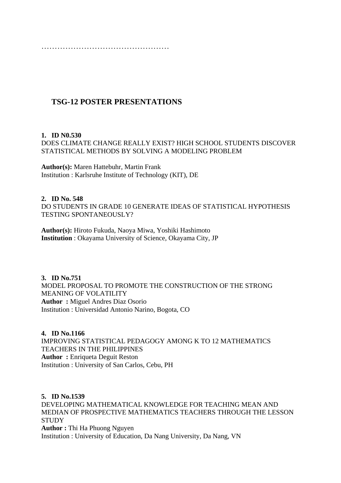…………………………………………

## **TSG-12 POSTER PRESENTATIONS**

## **1. ID N0.530**

DOES CLIMATE CHANGE REALLY EXIST? HIGH SCHOOL STUDENTS DISCOVER STATISTICAL METHODS BY SOLVING A MODELING PROBLEM

**Author(s):** Maren Hattebuhr, Martin Frank Institution : Karlsruhe Institute of Technology (KIT), DE

## **2. ID No. 548**

DO STUDENTS IN GRADE 10 GENERATE IDEAS OF STATISTICAL HYPOTHESIS TESTING SPONTANEOUSLY?

**Author(s):** Hiroto Fukuda, Naoya Miwa, Yoshiki Hashimoto **Institution** : Okayama University of Science, Okayama City, JP

**3. ID No.751** MODEL PROPOSAL TO PROMOTE THE CONSTRUCTION OF THE STRONG MEANING OF VOLATILITY **Author :** Miguel Andres Diaz Osorio Institution : Universidad Antonio Narino, Bogota, CO

## **4. ID No.1166**

IMPROVING STATISTICAL PEDAGOGY AMONG K TO 12 MATHEMATICS TEACHERS IN THE PHILIPPINES **Author :** Enriqueta Deguit Reston Institution : University of San Carlos, Cebu, PH

**5. ID No.1539** DEVELOPING MATHEMATICAL KNOWLEDGE FOR TEACHING MEAN AND MEDIAN OF PROSPECTIVE MATHEMATICS TEACHERS THROUGH THE LESSON **STUDY Author :** Thi Ha Phuong Nguyen Institution : University of Education, Da Nang University, Da Nang, VN